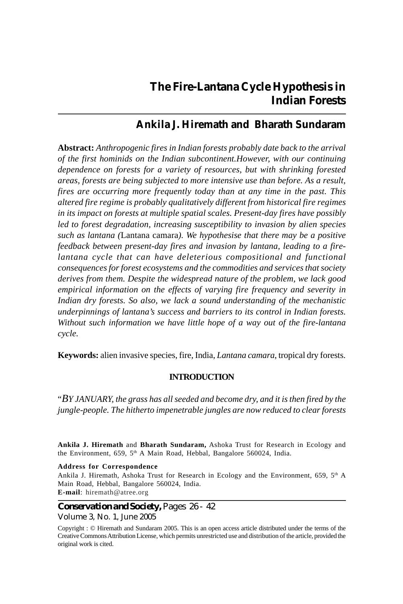# **The Fire-Lantana Cycle Hypothesis in Indian Forests**

## **Ankila J. Hiremath and Bharath Sundaram**

**Abstract:** *Anthropogenic fires in Indian forests probably date back to the arrival of the first hominids on the Indian subcontinent.However, with our continuing dependence on forests for a variety of resources, but with shrinking forested areas, forests are being subjected to more intensive use than before. As a result, fires are occurring more frequently today than at any time in the past. This altered fire regime is probably qualitatively different from historical fire regimes in its impact on forests at multiple spatial scales. Present-day fires have possibly led to forest degradation, increasing susceptibility to invasion by alien species such as lantana (*Lantana camara*). We hypothesise that there may be a positive feedback between present-day fires and invasion by lantana, leading to a firelantana cycle that can have deleterious compositional and functional consequences for forest ecosystems and the commodities and services that society derives from them. Despite the widespread nature of the problem, we lack good empirical information on the effects of varying fire frequency and severity in Indian dry forests. So also, we lack a sound understanding of the mechanistic underpinnings of lantana's success and barriers to its control in Indian forests. Without such information we have little hope of a way out of the fire-lantana cycle.*

**Keywords:** alien invasive species, fire, India, *Lantana camara*, tropical dry forests.

## **INTRODUCTION**

"*BY JANUARY, the grass has all seeded and become dry, and it is then fired by the jungle-people. The hitherto impenetrable jungles are now reduced to clear forests*

**Ankila J. Hiremath** and **Bharath Sundaram,** Ashoka Trust for Research in Ecology and the Environment, 659, 5<sup>th</sup> A Main Road, Hebbal, Bangalore 560024, India.

**Address for Correspondence** Ankila J. Hiremath, Ashoka Trust for Research in Ecology and the Environment, 659,  $5<sup>th</sup>$  A Main Road, Hebbal, Bangalore 560024, India. **E-mail**: hiremath@atree.org

## *Conservation and Society,* Pages 26 - 42 Volume 3, No. 1, June 2005

Copyright : © Hiremath and Sundaram 2005. This is an open access article distributed under the terms of the Creative Commons Attribution License, which permits unrestricted use and distribution of the article, provided the original work is cited.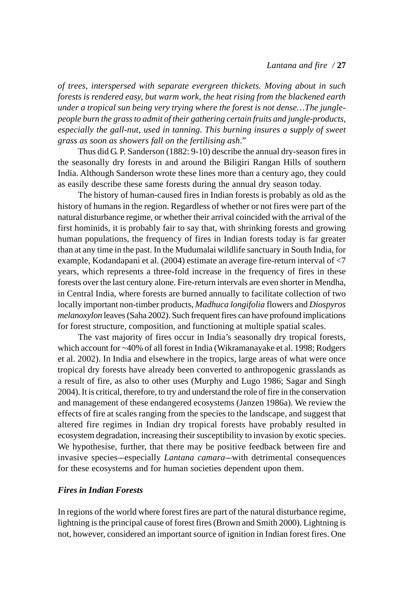## *Lantana and fire /* **27**

*of trees, interspersed with separate evergreen thickets. Moving about in such forests is rendered easy, but warm work, the heat rising from the blackened earth under a tropical sun being very trying where the forest is not dense…The junglepeople burn the grass to admit of their gathering certain fruits and jungle-products, especially the gall-nut, used in tanning. This burning insures a supply of sweet grass as soon as showers fall on the fertilising ash*."

Thus did G. P. Sanderson (1882: 9-10) describe the annual dry-season fires in the seasonally dry forests in and around the Biligiri Rangan Hills of southern India. Although Sanderson wrote these lines more than a century ago, they could as easily describe these same forests during the annual dry season today.

The history of human-caused fires in Indian forests is probably as old as the history of humans in the region. Regardless of whether or not fires were part of the natural disturbance regime, or whether their arrival coincided with the arrival of the first hominids, it is probably fair to say that, with shrinking forests and growing human populations, the frequency of fires in Indian forests today is far greater than at any time in the past. In the Mudumalai wildlife sanctuary in South India, for example, Kodandapani et al. (2004) estimate an average fire-return interval of <7 years, which represents a three-fold increase in the frequency of fires in these forests over the last century alone. Fire-return intervals are even shorter in Mendha, in Central India, where forests are burned annually to facilitate collection of two locally important non-timber products, *Madhuca longifolia* flowers and *Diospyros melanoxylon* leaves (Saha 2002). Such frequent fires can have profound implications for forest structure, composition, and functioning at multiple spatial scales.

The vast majority of fires occur in India's seasonally dry tropical forests, which account for ~40% of all forest in India (Wikramanayake et al. 1998; Rodgers et al. 2002). In India and elsewhere in the tropics, large areas of what were once tropical dry forests have already been converted to anthropogenic grasslands as a result of fire, as also to other uses (Murphy and Lugo 1986; Sagar and Singh 2004). It is critical, therefore, to try and understand the role of fire in the conservation and management of these endangered ecosystems (Janzen 1986a). We review the effects of fire at scales ranging from the species to the landscape, and suggest that altered fire regimes in Indian dry tropical forests have probably resulted in ecosystem degradation, increasing their susceptibility to invasion by exotic species. We hypothesise, further, that there may be positive feedback between fire and invasive species––especially *Lantana camara*––with detrimental consequences for these ecosystems and for human societies dependent upon them.

## *Fires in Indian Forests*

In regions of the world where forest fires are part of the natural disturbance regime, lightning is the principal cause of forest fires (Brown and Smith 2000). Lightning is not, however, considered an important source of ignition in Indian forest fires. One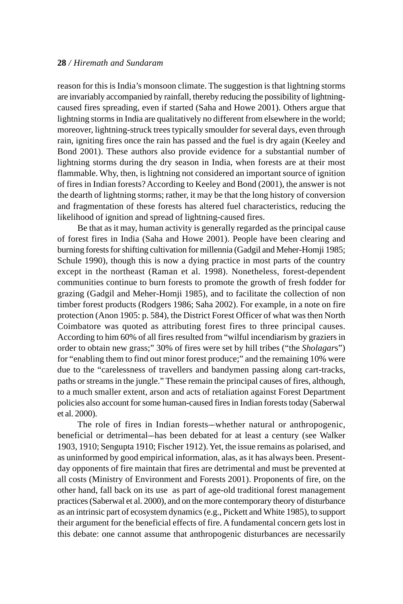reason for this is India's monsoon climate. The suggestion is that lightning storms are invariably accompanied by rainfall, thereby reducing the possibility of lightningcaused fires spreading, even if started (Saha and Howe 2001). Others argue that lightning storms in India are qualitatively no different from elsewhere in the world; moreover, lightning-struck trees typically smoulder for several days, even through rain, igniting fires once the rain has passed and the fuel is dry again (Keeley and Bond 2001). These authors also provide evidence for a substantial number of lightning storms during the dry season in India, when forests are at their most flammable. Why, then, is lightning not considered an important source of ignition of fires in Indian forests? According to Keeley and Bond (2001), the answer is not the dearth of lightning storms; rather, it may be that the long history of conversion and fragmentation of these forests has altered fuel characteristics, reducing the likelihood of ignition and spread of lightning-caused fires.

Be that as it may, human activity is generally regarded as the principal cause of forest fires in India (Saha and Howe 2001). People have been clearing and burning forests for shifting cultivation for millennia (Gadgil and Meher-Homji 1985; Schule 1990), though this is now a dying practice in most parts of the country except in the northeast (Raman et al. 1998). Nonetheless, forest-dependent communities continue to burn forests to promote the growth of fresh fodder for grazing (Gadgil and Meher-Homji 1985), and to facilitate the collection of non timber forest products (Rodgers 1986; Saha 2002). For example, in a note on fire protection (Anon 1905: p. 584), the District Forest Officer of what was then North Coimbatore was quoted as attributing forest fires to three principal causes. According to him 60% of all fires resulted from "wilful incendiarism by graziers in order to obtain new grass;" 30% of fires were set by hill tribes ("the *Sholagar*s") for "enabling them to find out minor forest produce;" and the remaining 10% were due to the "carelessness of travellers and bandymen passing along cart-tracks, paths or streams in the jungle." These remain the principal causes of fires, although, to a much smaller extent, arson and acts of retaliation against Forest Department policies also account for some human-caused fires in Indian forests today (Saberwal et al. 2000).

The role of fires in Indian forests––whether natural or anthropogenic, beneficial or detrimental––has been debated for at least a century (see Walker 1903, 1910; Sengupta 1910; Fischer 1912). Yet, the issue remains as polarised, and as uninformed by good empirical information, alas, as it has always been. Presentday opponents of fire maintain that fires are detrimental and must be prevented at all costs (Ministry of Environment and Forests 2001). Proponents of fire, on the other hand, fall back on its use as part of age-old traditional forest management practices (Saberwal et al. 2000), and on the more contemporary theory of disturbance as an intrinsic part of ecosystem dynamics (e.g., Pickett and White 1985), to support their argument for the beneficial effects of fire. A fundamental concern gets lost in this debate: one cannot assume that anthropogenic disturbances are necessarily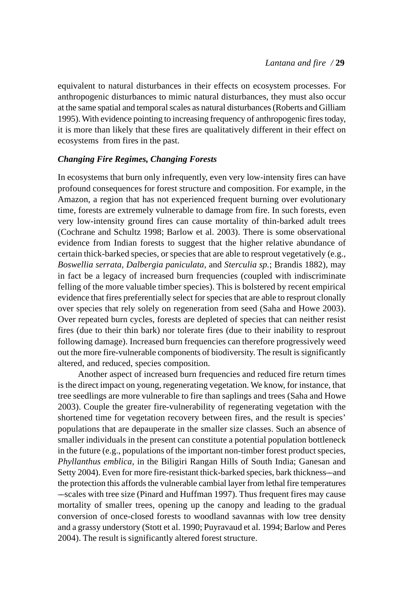equivalent to natural disturbances in their effects on ecosystem processes. For anthropogenic disturbances to mimic natural disturbances, they must also occur at the same spatial and temporal scales as natural disturbances (Roberts and Gilliam 1995). With evidence pointing to increasing frequency of anthropogenic fires today, it is more than likely that these fires are qualitatively different in their effect on ecosystems from fires in the past.

## *Changing Fire Regimes, Changing Forests*

In ecosystems that burn only infrequently, even very low-intensity fires can have profound consequences for forest structure and composition. For example, in the Amazon, a region that has not experienced frequent burning over evolutionary time, forests are extremely vulnerable to damage from fire. In such forests, even very low-intensity ground fires can cause mortality of thin-barked adult trees (Cochrane and Schultz 1998; Barlow et al. 2003). There is some observational evidence from Indian forests to suggest that the higher relative abundance of certain thick-barked species, or species that are able to resprout vegetatively (e.g., *Boswellia serrata, Dalbergia paniculata,* and *Sterculia sp.*; Brandis 1882), may in fact be a legacy of increased burn frequencies (coupled with indiscriminate felling of the more valuable timber species). This is bolstered by recent empirical evidence that fires preferentially select for species that are able to resprout clonally over species that rely solely on regeneration from seed (Saha and Howe 2003). Over repeated burn cycles, forests are depleted of species that can neither resist fires (due to their thin bark) nor tolerate fires (due to their inability to resprout following damage). Increased burn frequencies can therefore progressively weed out the more fire-vulnerable components of biodiversity. The result is significantly altered, and reduced, species composition.

Another aspect of increased burn frequencies and reduced fire return times is the direct impact on young, regenerating vegetation. We know, for instance, that tree seedlings are more vulnerable to fire than saplings and trees (Saha and Howe 2003). Couple the greater fire-vulnerability of regenerating vegetation with the shortened time for vegetation recovery between fires, and the result is species' populations that are depauperate in the smaller size classes. Such an absence of smaller individuals in the present can constitute a potential population bottleneck in the future (e.g., populations of the important non-timber forest product species, *Phyllanthus emblica,* in the Biligiri Rangan Hills of South India; Ganesan and Setty 2004). Even for more fire-resistant thick-barked species, bark thickness––and the protection this affords the vulnerable cambial layer from lethal fire temperatures ––scales with tree size (Pinard and Huffman 1997). Thus frequent fires may cause mortality of smaller trees, opening up the canopy and leading to the gradual conversion of once-closed forests to woodland savannas with low tree density and a grassy understory (Stott et al. 1990; Puyravaud et al. 1994; Barlow and Peres 2004). The result is significantly altered forest structure.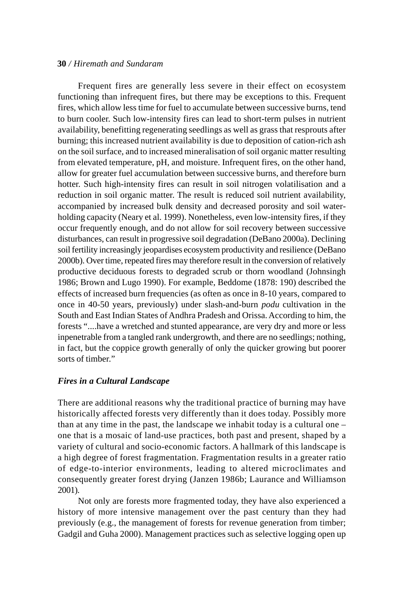Frequent fires are generally less severe in their effect on ecosystem functioning than infrequent fires, but there may be exceptions to this. Frequent fires, which allow less time for fuel to accumulate between successive burns, tend to burn cooler. Such low-intensity fires can lead to short-term pulses in nutrient availability, benefitting regenerating seedlings as well as grass that resprouts after burning; this increased nutrient availability is due to deposition of cation-rich ash on the soil surface, and to increased mineralisation of soil organic matter resulting from elevated temperature, pH, and moisture. Infrequent fires, on the other hand, allow for greater fuel accumulation between successive burns, and therefore burn hotter. Such high-intensity fires can result in soil nitrogen volatilisation and a reduction in soil organic matter. The result is reduced soil nutrient availability, accompanied by increased bulk density and decreased porosity and soil waterholding capacity (Neary et al. 1999). Nonetheless, even low-intensity fires, if they occur frequently enough, and do not allow for soil recovery between successive disturbances, can result in progressive soil degradation (DeBano 2000a). Declining soil fertility increasingly jeopardises ecosystem productivity and resilience (DeBano 2000b). Over time, repeated fires may therefore result in the conversion of relatively productive deciduous forests to degraded scrub or thorn woodland (Johnsingh 1986; Brown and Lugo 1990). For example, Beddome (1878: 190) described the effects of increased burn frequencies (as often as once in 8-10 years, compared to once in 40-50 years, previously) under slash-and-burn *podu* cultivation in the South and East Indian States of Andhra Pradesh and Orissa. According to him, the forests "....have a wretched and stunted appearance, are very dry and more or less inpenetrable from a tangled rank undergrowth, and there are no seedlings; nothing, in fact, but the coppice growth generally of only the quicker growing but poorer sorts of timber."

## *Fires in a Cultural Landscape*

There are additional reasons why the traditional practice of burning may have historically affected forests very differently than it does today. Possibly more than at any time in the past, the landscape we inhabit today is a cultural one – one that is a mosaic of land-use practices, both past and present, shaped by a variety of cultural and socio-economic factors. A hallmark of this landscape is a high degree of forest fragmentation. Fragmentation results in a greater ratio of edge-to-interior environments, leading to altered microclimates and consequently greater forest drying (Janzen 1986b; Laurance and Williamson 2001).

Not only are forests more fragmented today, they have also experienced a history of more intensive management over the past century than they had previously (e.g., the management of forests for revenue generation from timber; Gadgil and Guha 2000). Management practices such as selective logging open up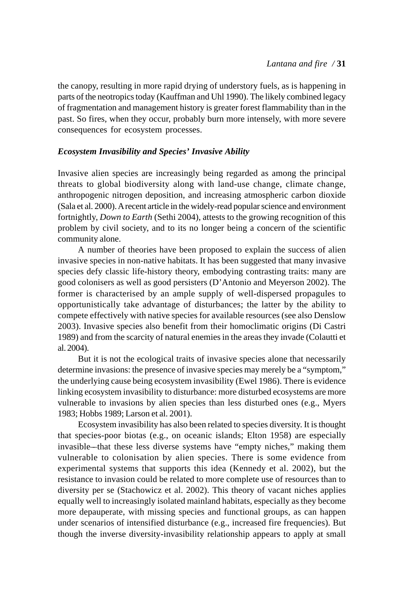the canopy, resulting in more rapid drying of understory fuels, as is happening in parts of the neotropics today (Kauffman and Uhl 1990). The likely combined legacy of fragmentation and management history is greater forest flammability than in the past. So fires, when they occur, probably burn more intensely, with more severe consequences for ecosystem processes.

## *Ecosystem Invasibility and Species' Invasive Ability*

Invasive alien species are increasingly being regarded as among the principal threats to global biodiversity along with land-use change, climate change, anthropogenic nitrogen deposition, and increasing atmospheric carbon dioxide (Sala et al. 2000). A recent article in the widely-read popular science and environment fortnightly, *Down to Earth* (Sethi 2004), attests to the growing recognition of this problem by civil society, and to its no longer being a concern of the scientific community alone.

A number of theories have been proposed to explain the success of alien invasive species in non-native habitats. It has been suggested that many invasive species defy classic life-history theory, embodying contrasting traits: many are good colonisers as well as good persisters (D'Antonio and Meyerson 2002). The former is characterised by an ample supply of well-dispersed propagules to opportunistically take advantage of disturbances; the latter by the ability to compete effectively with native species for available resources (see also Denslow 2003). Invasive species also benefit from their homoclimatic origins (Di Castri 1989) and from the scarcity of natural enemies in the areas they invade (Colautti et al. 2004).

But it is not the ecological traits of invasive species alone that necessarily determine invasions: the presence of invasive species may merely be a "symptom," the underlying cause being ecosystem invasibility (Ewel 1986). There is evidence linking ecosystem invasibility to disturbance: more disturbed ecosystems are more vulnerable to invasions by alien species than less disturbed ones (e.g., Myers 1983; Hobbs 1989; Larson et al. 2001).

Ecosystem invasibility has also been related to species diversity. It is thought that species-poor biotas (e.g., on oceanic islands; Elton 1958) are especially invasible––that these less diverse systems have "empty niches," making them vulnerable to colonisation by alien species. There is some evidence from experimental systems that supports this idea (Kennedy et al. 2002), but the resistance to invasion could be related to more complete use of resources than to diversity per se (Stachowicz et al. 2002). This theory of vacant niches applies equally well to increasingly isolated mainland habitats, especially as they become more depauperate, with missing species and functional groups, as can happen under scenarios of intensified disturbance (e.g., increased fire frequencies). But though the inverse diversity-invasibility relationship appears to apply at small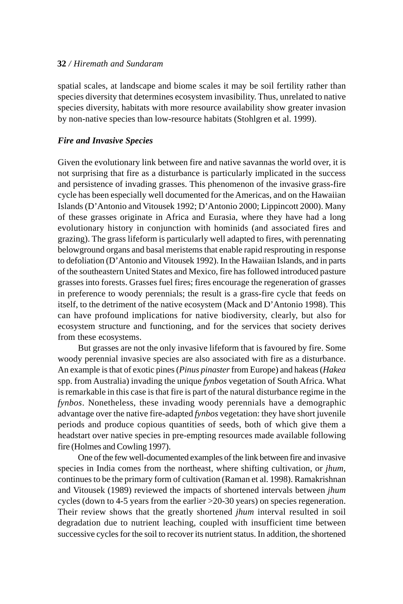spatial scales, at landscape and biome scales it may be soil fertility rather than species diversity that determines ecosystem invasibility. Thus, unrelated to native species diversity, habitats with more resource availability show greater invasion by non-native species than low-resource habitats (Stohlgren et al. 1999).

## *Fire and Invasive Species*

Given the evolutionary link between fire and native savannas the world over, it is not surprising that fire as a disturbance is particularly implicated in the success and persistence of invading grasses. This phenomenon of the invasive grass-fire cycle has been especially well documented for the Americas, and on the Hawaiian Islands (D'Antonio and Vitousek 1992; D'Antonio 2000; Lippincott 2000). Many of these grasses originate in Africa and Eurasia, where they have had a long evolutionary history in conjunction with hominids (and associated fires and grazing). The grass lifeform is particularly well adapted to fires, with perennating belowground organs and basal meristems that enable rapid resprouting in response to defoliation (D'Antonio and Vitousek 1992). In the Hawaiian Islands, and in parts of the southeastern United States and Mexico, fire has followed introduced pasture grasses into forests. Grasses fuel fires; fires encourage the regeneration of grasses in preference to woody perennials; the result is a grass-fire cycle that feeds on itself, to the detriment of the native ecosystem (Mack and D'Antonio 1998). This can have profound implications for native biodiversity, clearly, but also for ecosystem structure and functioning, and for the services that society derives from these ecosystems.

But grasses are not the only invasive lifeform that is favoured by fire. Some woody perennial invasive species are also associated with fire as a disturbance. An example is that of exotic pines (*Pinus pinaster* from Europe) and hakeas (*Hakea* spp. from Australia) invading the unique *fynbos* vegetation of South Africa. What is remarkable in this case is that fire is part of the natural disturbance regime in the *fynbos*. Nonetheless, these invading woody perennials have a demographic advantage over the native fire-adapted *fynbos* vegetation: they have short juvenile periods and produce copious quantities of seeds, both of which give them a headstart over native species in pre-empting resources made available following fire (Holmes and Cowling 1997).

One of the few well-documented examples of the link between fire and invasive species in India comes from the northeast, where shifting cultivation, or *jhum,* continues to be the primary form of cultivation (Raman et al. 1998). Ramakrishnan and Vitousek (1989) reviewed the impacts of shortened intervals between *jhum* cycles (down to 4-5 years from the earlier  $>$ 20-30 years) on species regeneration. Their review shows that the greatly shortened *jhum* interval resulted in soil degradation due to nutrient leaching, coupled with insufficient time between successive cycles for the soil to recover its nutrient status. In addition, the shortened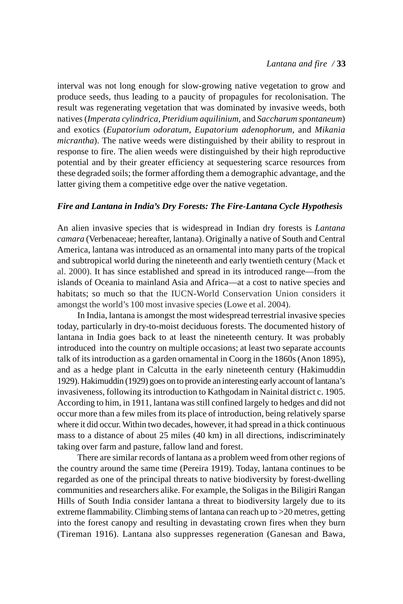interval was not long enough for slow-growing native vegetation to grow and produce seeds, thus leading to a paucity of propagules for recolonisation. The result was regenerating vegetation that was dominated by invasive weeds, both natives (*Imperata cylindrica*, *Pteridium aquilinium*, and *Saccharum spontaneum*) and exotics (*Eupatorium odoratum*, *Eupatorium adenophorum*, and *Mikania micrantha*). The native weeds were distinguished by their ability to resprout in response to fire. The alien weeds were distinguished by their high reproductive potential and by their greater efficiency at sequestering scarce resources from these degraded soils; the former affording them a demographic advantage, and the latter giving them a competitive edge over the native vegetation.

## *Fire and Lantana in India's Dry Forests: The Fire-Lantana Cycle Hypothesis*

An alien invasive species that is widespread in Indian dry forests is *Lantana camara* (Verbenaceae; hereafter, lantana). Originally a native of South and Central America, lantana was introduced as an ornamental into many parts of the tropical and subtropical world during the nineteenth and early twentieth century (Mack et al. 2000). It has since established and spread in its introduced range—from the islands of Oceania to mainland Asia and Africa—at a cost to native species and habitats; so much so that the IUCN-World Conservation Union considers it amongst the world's 100 most invasive species (Lowe et al. 2004).

In India, lantana is amongst the most widespread terrestrial invasive species today, particularly in dry-to-moist deciduous forests. The documented history of lantana in India goes back to at least the nineteenth century. It was probably introduced into the country on multiple occasions; at least two separate accounts talk of its introduction as a garden ornamental in Coorg in the 1860s (Anon 1895), and as a hedge plant in Calcutta in the early nineteenth century (Hakimuddin 1929). Hakimuddin (1929) goes on to provide an interesting early account of lantana's invasiveness, following its introduction to Kathgodam in Nainital district c. 1905. According to him, in 1911, lantana was still confined largely to hedges and did not occur more than a few miles from its place of introduction, being relatively sparse where it did occur. Within two decades, however, it had spread in a thick continuous mass to a distance of about 25 miles (40 km) in all directions, indiscriminately taking over farm and pasture, fallow land and forest.

There are similar records of lantana as a problem weed from other regions of the country around the same time (Pereira 1919). Today, lantana continues to be regarded as one of the principal threats to native biodiversity by forest-dwelling communities and researchers alike. For example, the Soligas in the Biligiri Rangan Hills of South India consider lantana a threat to biodiversity largely due to its extreme flammability. Climbing stems of lantana can reach up to >20 metres, getting into the forest canopy and resulting in devastating crown fires when they burn (Tireman 1916). Lantana also suppresses regeneration (Ganesan and Bawa,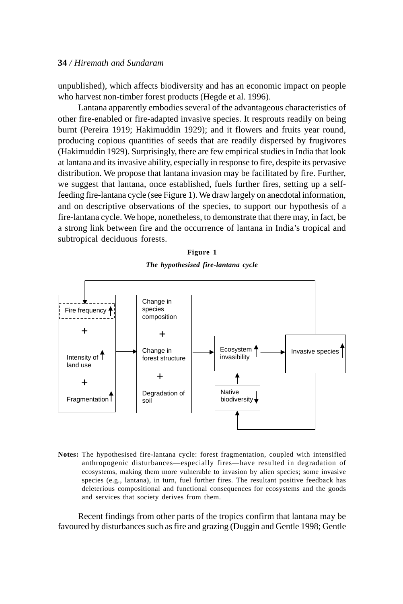unpublished), which affects biodiversity and has an economic impact on people who harvest non-timber forest products (Hegde et al. 1996).

Lantana apparently embodies several of the advantageous characteristics of other fire-enabled or fire-adapted invasive species. It resprouts readily on being burnt (Pereira 1919; Hakimuddin 1929); and it flowers and fruits year round, producing copious quantities of seeds that are readily dispersed by frugivores (Hakimuddin 1929). Surprisingly, there are few empirical studies in India that look at lantana and its invasive ability, especially in response to fire, despite its pervasive distribution. We propose that lantana invasion may be facilitated by fire. Further, we suggest that lantana, once established, fuels further fires, setting up a selffeeding fire-lantana cycle (see Figure 1). We draw largely on anecdotal information, and on descriptive observations of the species, to support our hypothesis of a fire-lantana cycle. We hope, nonetheless, to demonstrate that there may, in fact, be a strong link between fire and the occurrence of lantana in India's tropical and subtropical deciduous forests.

| וווסו |  |
|-------|--|
|-------|--|

*The hypothesised fire-lantana cycle*



**Notes:** The hypothesised fire-lantana cycle: forest fragmentation, coupled with intensified anthropogenic disturbances—especially fires—have resulted in degradation of ecosystems, making them more vulnerable to invasion by alien species; some invasive species (e.g., lantana), in turn, fuel further fires. The resultant positive feedback has deleterious compositional and functional consequences for ecosystems and the goods and services that society derives from them.

Recent findings from other parts of the tropics confirm that lantana may be favoured by disturbances such as fire and grazing (Duggin and Gentle 1998; Gentle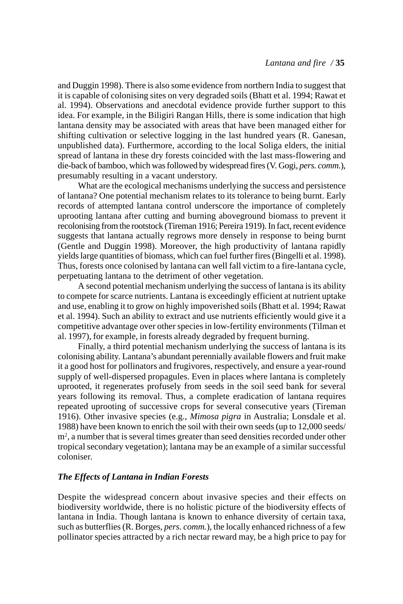and Duggin 1998). There is also some evidence from northern India to suggest that it is capable of colonising sites on very degraded soils (Bhatt et al. 1994; Rawat et al. 1994). Observations and anecdotal evidence provide further support to this idea. For example, in the Biligiri Rangan Hills, there is some indication that high lantana density may be associated with areas that have been managed either for shifting cultivation or selective logging in the last hundred years (R. Ganesan, unpublished data). Furthermore, according to the local Soliga elders, the initial spread of lantana in these dry forests coincided with the last mass-flowering and die-back of bamboo, which was followed by widespread fires (V. Gogi, *pers. comm.*), presumably resulting in a vacant understory.

What are the ecological mechanisms underlying the success and persistence of lantana? One potential mechanism relates to its tolerance to being burnt. Early records of attempted lantana control underscore the importance of completely uprooting lantana after cutting and burning aboveground biomass to prevent it recolonising from the rootstock (Tireman 1916; Pereira 1919). In fact, recent evidence suggests that lantana actually regrows more densely in response to being burnt (Gentle and Duggin 1998). Moreover, the high productivity of lantana rapidly yields large quantities of biomass, which can fuel further fires (Bingelli et al. 1998). Thus, forests once colonised by lantana can well fall victim to a fire-lantana cycle, perpetuating lantana to the detriment of other vegetation.

A second potential mechanism underlying the success of lantana is its ability to compete for scarce nutrients. Lantana is exceedingly efficient at nutrient uptake and use, enabling it to grow on highly impoverished soils (Bhatt et al. 1994; Rawat et al. 1994). Such an ability to extract and use nutrients efficiently would give it a competitive advantage over other species in low-fertility environments (Tilman et al. 1997), for example, in forests already degraded by frequent burning.

Finally, a third potential mechanism underlying the success of lantana is its colonising ability. Lantana's abundant perennially available flowers and fruit make it a good host for pollinators and frugivores, respectively, and ensure a year-round supply of well-dispersed propagules. Even in places where lantana is completely uprooted, it regenerates profusely from seeds in the soil seed bank for several years following its removal. Thus, a complete eradication of lantana requires repeated uprooting of successive crops for several consecutive years (Tireman 1916). Other invasive species (e.g., *Mimosa pigra* in Australia; Lonsdale et al. 1988) have been known to enrich the soil with their own seeds (up to 12,000 seeds/ m<sup>2</sup>, a number that is several times greater than seed densities recorded under other tropical secondary vegetation); lantana may be an example of a similar successful coloniser.

## *The Effects of Lantana in Indian Forests*

Despite the widespread concern about invasive species and their effects on biodiversity worldwide, there is no holistic picture of the biodiversity effects of lantana in India. Though lantana is known to enhance diversity of certain taxa, such as butterflies (R. Borges, *pers. comm.*), the locally enhanced richness of a few pollinator species attracted by a rich nectar reward may, be a high price to pay for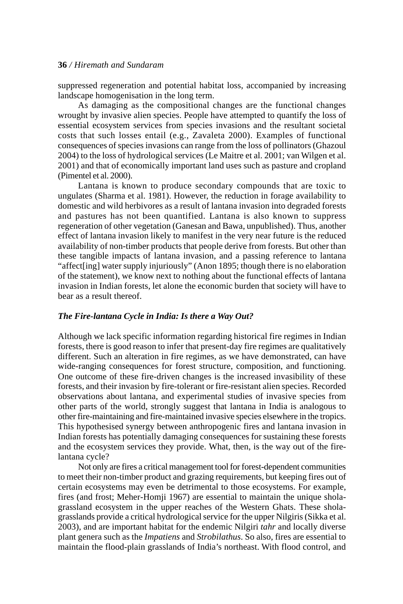suppressed regeneration and potential habitat loss, accompanied by increasing landscape homogenisation in the long term.

As damaging as the compositional changes are the functional changes wrought by invasive alien species. People have attempted to quantify the loss of essential ecosystem services from species invasions and the resultant societal costs that such losses entail (e.g., Zavaleta 2000). Examples of functional consequences of species invasions can range from the loss of pollinators (Ghazoul 2004) to the loss of hydrological services (Le Maitre et al. 2001; van Wilgen et al. 2001) and that of economically important land uses such as pasture and cropland (Pimentel et al. 2000).

Lantana is known to produce secondary compounds that are toxic to ungulates (Sharma et al. 1981). However, the reduction in forage availability to domestic and wild herbivores as a result of lantana invasion into degraded forests and pastures has not been quantified. Lantana is also known to suppress regeneration of other vegetation (Ganesan and Bawa, unpublished). Thus, another effect of lantana invasion likely to manifest in the very near future is the reduced availability of non-timber products that people derive from forests. But other than these tangible impacts of lantana invasion, and a passing reference to lantana "affect[ing] water supply injuriously" (Anon 1895; though there is no elaboration of the statement), we know next to nothing about the functional effects of lantana invasion in Indian forests, let alone the economic burden that society will have to bear as a result thereof.

#### *The Fire-lantana Cycle in India: Is there a Way Out?*

Although we lack specific information regarding historical fire regimes in Indian forests, there is good reason to infer that present-day fire regimes are qualitatively different. Such an alteration in fire regimes, as we have demonstrated, can have wide-ranging consequences for forest structure, composition, and functioning. One outcome of these fire-driven changes is the increased invasibility of these forests, and their invasion by fire-tolerant or fire-resistant alien species. Recorded observations about lantana, and experimental studies of invasive species from other parts of the world, strongly suggest that lantana in India is analogous to other fire-maintaining and fire-maintained invasive species elsewhere in the tropics. This hypothesised synergy between anthropogenic fires and lantana invasion in Indian forests has potentially damaging consequences for sustaining these forests and the ecosystem services they provide. What, then, is the way out of the firelantana cycle?

Not only are fires a critical management tool for forest-dependent communities to meet their non-timber product and grazing requirements, but keeping fires out of certain ecosystems may even be detrimental to those ecosystems. For example, fires (and frost; Meher-Homji 1967) are essential to maintain the unique sholagrassland ecosystem in the upper reaches of the Western Ghats. These sholagrasslands provide a critical hydrological service for the upper Nilgiris (Sikka et al. 2003), and are important habitat for the endemic Nilgiri *tahr* and locally diverse plant genera such as the *Impatiens* and *Strobilathus*. So also, fires are essential to maintain the flood-plain grasslands of India's northeast. With flood control, and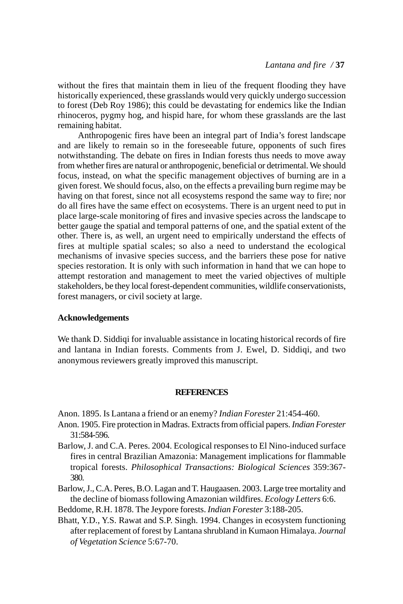without the fires that maintain them in lieu of the frequent flooding they have historically experienced, these grasslands would very quickly undergo succession to forest (Deb Roy 1986); this could be devastating for endemics like the Indian rhinoceros, pygmy hog, and hispid hare, for whom these grasslands are the last remaining habitat.

Anthropogenic fires have been an integral part of India's forest landscape and are likely to remain so in the foreseeable future, opponents of such fires notwithstanding. The debate on fires in Indian forests thus needs to move away from whether fires are natural or anthropogenic, beneficial or detrimental. We should focus, instead, on what the specific management objectives of burning are in a given forest. We should focus, also, on the effects a prevailing burn regime may be having on that forest, since not all ecosystems respond the same way to fire; nor do all fires have the same effect on ecosystems. There is an urgent need to put in place large-scale monitoring of fires and invasive species across the landscape to better gauge the spatial and temporal patterns of one, and the spatial extent of the other. There is, as well, an urgent need to empirically understand the effects of fires at multiple spatial scales; so also a need to understand the ecological mechanisms of invasive species success, and the barriers these pose for native species restoration. It is only with such information in hand that we can hope to attempt restoration and management to meet the varied objectives of multiple stakeholders, be they local forest-dependent communities, wildlife conservationists, forest managers, or civil society at large.

#### **Acknowledgements**

We thank D. Siddiqi for invaluable assistance in locating historical records of fire and lantana in Indian forests. Comments from J. Ewel, D. Siddiqi, and two anonymous reviewers greatly improved this manuscript.

#### **REFERENCES**

Anon. 1895. Is Lantana a friend or an enemy? *Indian Forester* 21:454-460.

- Anon. 1905. Fire protection in Madras. Extracts from official papers. *Indian Forester* 31:584-596.
- Barlow, J. and C.A. Peres. 2004. Ecological responses to El Nino-induced surface fires in central Brazilian Amazonia: Management implications for flammable tropical forests. *Philosophical Transactions: Biological Sciences* 359:367- 380.
- Barlow, J., C.A. Peres, B.O. Lagan and T. Haugaasen. 2003. Large tree mortality and the decline of biomass following Amazonian wildfires. *Ecology Letters* 6:6.

Beddome, R.H. 1878. The Jeypore forests. *Indian Forester* 3:188-205.

Bhatt, Y.D., Y.S. Rawat and S.P. Singh. 1994. Changes in ecosystem functioning after replacement of forest by Lantana shrubland in Kumaon Himalaya. *Journal of Vegetation Science* 5:67-70.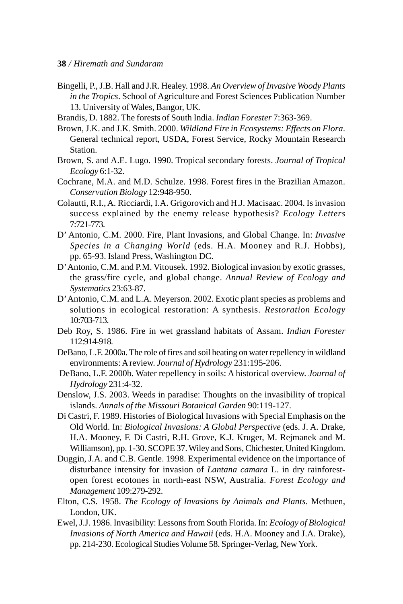- Bingelli, P., J.B. Hall and J.R. Healey. 1998. *An Overview of Invasive Woody Plants in the Tropics*. School of Agriculture and Forest Sciences Publication Number 13. University of Wales, Bangor, UK.
- Brandis, D. 1882. The forests of South India. *Indian Forester* 7:363-369.
- Brown, J.K. and J.K. Smith. 2000. *Wildland Fire in Ecosystems: Effects on Flora*. General technical report, USDA, Forest Service, Rocky Mountain Research Station.
- Brown, S. and A.E. Lugo. 1990. Tropical secondary forests. *Journal of Tropical Ecology* 6:1-32.
- Cochrane, M.A. and M.D. Schulze. 1998. Forest fires in the Brazilian Amazon. *Conservation Biology* 12:948-950.
- Colautti, R.I., A. Ricciardi, I.A. Grigorovich and H.J. Macisaac. 2004. Is invasion success explained by the enemy release hypothesis? *Ecology Letters* 7:721-773.
- D' Antonio, C.M. 2000. Fire, Plant Invasions, and Global Change. In: *Invasive Species in a Changing World* (eds. H.A. Mooney and R.J. Hobbs), pp. 65-93. Island Press, Washington DC.
- D' Antonio, C.M. and P.M. Vitousek. 1992. Biological invasion by exotic grasses, the grass/fire cycle, and global change. *Annual Review of Ecology and Systematics* 23:63-87.
- D' Antonio, C.M. and L.A. Meyerson. 2002. Exotic plant species as problems and solutions in ecological restoration: A synthesis. *Restoration Ecology* 10:703-713.
- Deb Roy, S. 1986. Fire in wet grassland habitats of Assam. *Indian Forester* 112:914-918.
- DeBano, L.F. 2000a. The role of fires and soil heating on water repellency in wildland environments: A review. *Journal of Hydrology* 231:195-206.
- DeBano, L.F. 2000b. Water repellency in soils: A historical overview. *Journal of Hydrology* 231:4-32.
- Denslow, J.S. 2003. Weeds in paradise: Thoughts on the invasibility of tropical islands. *Annals of the Missouri Botanical Garden* 90:119-127.
- Di Castri, F. 1989. Histories of Biological Invasions with Special Emphasis on the Old World. In: *Biological Invasions: A Global Perspective* (eds. J. A. Drake, H.A. Mooney, F. Di Castri, R.H. Grove, K.J. Kruger, M. Rejmanek and M. Williamson), pp. 1-30. SCOPE 37. Wiley and Sons, Chichester, United Kingdom.
- Duggin, J.A. and C.B. Gentle. 1998. Experimental evidence on the importance of disturbance intensity for invasion of *Lantana camara* L. in dry rainforestopen forest ecotones in north-east NSW, Australia. *Forest Ecology and Management* 109:279-292.
- Elton, C.S. 1958. *The Ecology of Invasions by Animals and Plants*. Methuen, London, UK.
- Ewel, J.J. 1986. Invasibility: Lessons from South Florida. In: *Ecology of Biological Invasions of North America and Hawaii* (eds. H.A. Mooney and J.A. Drake), pp. 214-230. Ecological Studies Volume 58. Springer-Verlag, New York.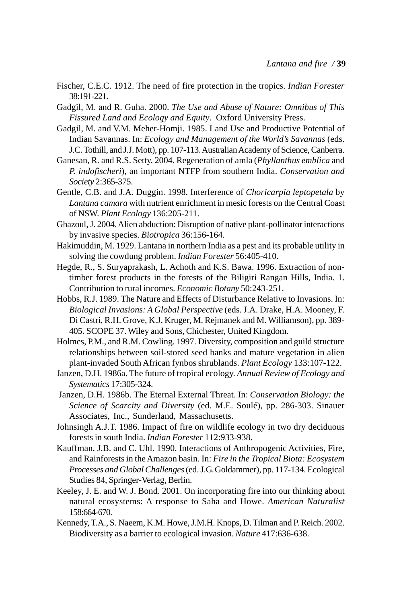- Fischer, C.E.C. 1912. The need of fire protection in the tropics. *Indian Forester* 38:191-221.
- Gadgil, M. and R. Guha. 2000. *The Use and Abuse of Nature: Omnibus of This Fissured Land and Ecology and Equity*. Oxford University Press.
- Gadgil, M. and V.M. Meher-Homji. 1985. Land Use and Productive Potential of Indian Savannas. In: *Ecology and Management of the World's Savannas* (eds. J.C. Tothill, and J.J. Mott), pp. 107-113. Australian Academy of Science, Canberra.
- Ganesan, R. and R.S. Setty. 2004. Regeneration of amla (*Phyllanthus emblica* and *P. indofischeri*), an important NTFP from southern India. *Conservation and Society* 2:365-375.
- Gentle, C.B. and J.A. Duggin. 1998. Interference of *Choricarpia leptopetala* by *Lantana camara* with nutrient enrichment in mesic forests on the Central Coast of NSW. *Plant Ecology* 136:205-211.
- Ghazoul, J. 2004. Alien abduction: Disruption of native plant-pollinator interactions by invasive species. *Biotropica* 36:156-164.
- Hakimuddin, M. 1929. Lantana in northern India as a pest and its probable utility in solving the cowdung problem. *Indian Forester* 56:405-410.
- Hegde, R., S. Suryaprakash, L. Achoth and K.S. Bawa. 1996. Extraction of nontimber forest products in the forests of the Biligiri Rangan Hills, India. 1. Contribution to rural incomes. *Economic Botany* 50:243-251.
- Hobbs, R.J. 1989. The Nature and Effects of Disturbance Relative to Invasions. In: *Biological Invasions: A Global Perspective* (eds. J.A. Drake, H.A. Mooney, F. Di Castri, R.H. Grove, K.J. Kruger, M. Rejmanek and M. Williamson), pp. 389- 405. SCOPE 37. Wiley and Sons, Chichester, United Kingdom.
- Holmes, P.M., and R.M. Cowling. 1997. Diversity, composition and guild structure relationships between soil-stored seed banks and mature vegetation in alien plant-invaded South African fynbos shrublands. *Plant Ecology* 133:107-122.
- Janzen, D.H. 1986a. The future of tropical ecology. *Annual Review of Ecology and Systematics* 17:305-324.
- Janzen, D.H. 1986b. The Eternal External Threat. In: *Conservation Biology: the Science of Scarcity and Diversity* (ed. M.E. Soulé), pp. 286-303. Sinauer Associates, Inc., Sunderland, Massachusetts.
- Johnsingh A.J.T. 1986. Impact of fire on wildlife ecology in two dry deciduous forests in south India. *Indian Forester* 112:933-938.
- Kauffman, J.B. and C. Uhl. 1990. Interactions of Anthropogenic Activities, Fire, and Rainforests in the Amazon basin. In: *Fire in the Tropical Biota: Ecosystem Processes and Global Challenges* (ed. J.G. Goldammer)*,* pp. 117-134. Ecological Studies 84, Springer-Verlag, Berlin.
- Keeley, J. E. and W. J. Bond. 2001. On incorporating fire into our thinking about natural ecosystems: A response to Saha and Howe. *American Naturalist* 158:664-670.
- Kennedy, T.A., S. Naeem, K.M. Howe, J.M.H. Knops, D. Tilman and P. Reich. 2002. Biodiversity as a barrier to ecological invasion. *Nature* 417:636-638.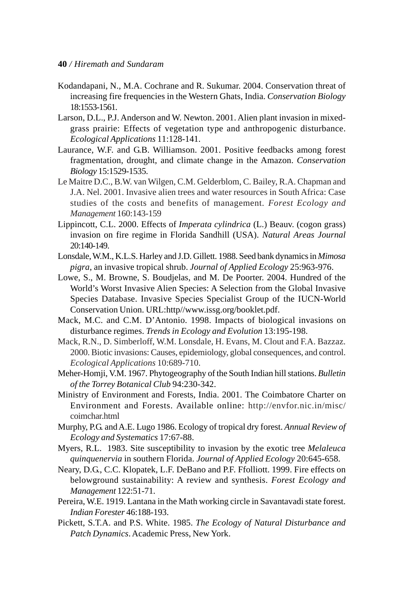- Kodandapani, N., M.A. Cochrane and R. Sukumar. 2004. Conservation threat of increasing fire frequencies in the Western Ghats, India. *Conservation Biology* 18:1553-1561.
- Larson, D.L., P.J. Anderson and W. Newton. 2001. Alien plant invasion in mixedgrass prairie: Effects of vegetation type and anthropogenic disturbance. *Ecological Applications* 11:128-141.
- Laurance, W.F. and G.B. Williamson. 2001. Positive feedbacks among forest fragmentation, drought, and climate change in the Amazon. *Conservation Biology* 15:1529-1535.
- Le Maitre D.C., B.W. van Wilgen, C.M. Gelderblom, C. Bailey, R.A. Chapman and J.A. Nel. 2001. Invasive alien trees and water resources in South Africa: Case studies of the costs and benefits of management. *Forest Ecology and Management* 160:143-159
- Lippincott, C.L. 2000. Effects of *Imperata cylindrica* (L.) Beauv. (cogon grass) invasion on fire regime in Florida Sandhill (USA). *Natural Areas Journal* 20:140-149.
- Lonsdale, W.M., K.L.S. Harley and J.D. Gillett. 1988. Seed bank dynamics in *Mimosa pigra*, an invasive tropical shrub. *Journal of Applied Ecology* 25:963-976.
- Lowe, S., M. Browne, S. Boudjelas, and M. De Poorter. 2004. Hundred of the World's Worst Invasive Alien Species: A Selection from the Global Invasive Species Database. Invasive Species Specialist Group of the IUCN-World Conservation Union. URL:http//www.issg.org/booklet.pdf.
- Mack, M.C. and C.M. D'Antonio. 1998. Impacts of biological invasions on disturbance regimes. *Trends in Ecology and Evolution* 13:195-198.
- Mack, R.N., D. Simberloff, W.M. Lonsdale, H. Evans, M. Clout and F.A. Bazzaz. 2000. Biotic invasions: Causes, epidemiology, global consequences, and control. *Ecological Applications* 10:689-710.
- Meher-Homji, V.M. 1967. Phytogeography of the South Indian hill stations. *Bulletin of the Torrey Botanical Club* 94:230-342.
- Ministry of Environment and Forests, India. 2001. The Coimbatore Charter on Environment and Forests. Available online: http://envfor.nic.in/misc/ coimchar.html
- Murphy, P.G. and A.E. Lugo 1986. Ecology of tropical dry forest. *Annual Review of Ecology and Systematics* 17:67-88.
- Myers, R.L. 1983. Site susceptibility to invasion by the exotic tree *Melaleuca quinquenervia* in southern Florida. *Journal of Applied Ecology* 20:645-658.
- Neary, D.G., C.C. Klopatek, L.F. DeBano and P.F. Ffolliott. 1999. Fire effects on belowground sustainability: A review and synthesis. *Forest Ecology and Management* 122:51-71.
- Pereira, W.E. 1919. Lantana in the Math working circle in Savantavadi state forest. *Indian Forester* 46:188-193.
- Pickett, S.T.A. and P.S. White. 1985. *The Ecology of Natural Disturbance and Patch Dynamics*. Academic Press, New York.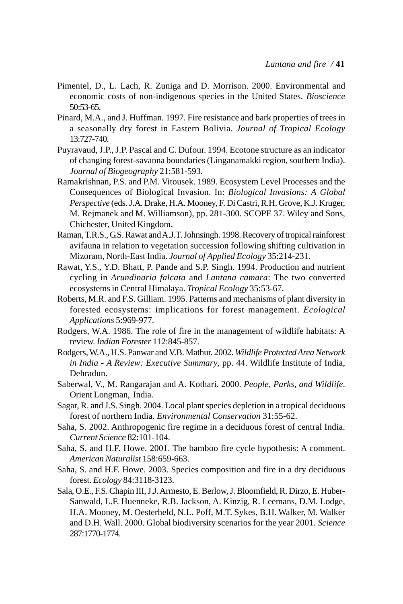- Pimentel, D., L. Lach, R. Zuniga and D. Morrison. 2000. Environmental and economic costs of non-indigenous species in the United States. *Bioscience* 50:53-65.
- Pinard, M.A., and J. Huffman. 1997. Fire resistance and bark properties of trees in a seasonally dry forest in Eastern Bolivia. *Journal of Tropical Ecology* 13:727-740.
- Puyravaud, J.P., J.P. Pascal and C. Dufour. 1994. Ecotone structure as an indicator of changing forest-savanna boundaries (Linganamakki region, southern India). *Journal of Biogeography* 21:581-593.
- Ramakrishnan, P.S. and P.M. Vitousek. 1989. Ecosystem Level Processes and the Consequences of Biological Invasion. In: *Biological Invasions: A Global Perspective* (eds. J.A. Drake, H.A. Mooney, F. Di Castri, R.H. Grove, K.J. Kruger, M. Rejmanek and M. Williamson), pp. 281-300. SCOPE 37. Wiley and Sons, Chichester, United Kingdom.
- Raman, T.R.S., G.S. Rawat and A.J.T. Johnsingh. 1998. Recovery of tropical rainforest avifauna in relation to vegetation succession following shifting cultivation in Mizoram, North-East India. *Journal of Applied Ecology* 35:214-231.
- Rawat, Y.S., Y.D. Bhatt, P. Pande and S.P. Singh. 1994. Production and nutrient cycling in *Arundinaria falcata* and *Lantana camara*: The two converted ecosystems in Central Himalaya. *Tropical Ecology* 35:53-67.
- Roberts, M.R. and F.S. Gilliam. 1995. Patterns and mechanisms of plant diversity in forested ecosystems: implications for forest management. *Ecological Applications* 5:969-977.
- Rodgers, W.A. 1986. The role of fire in the management of wildlife habitats: A review. *Indian Forester* 112:845-857.
- Rodgers, W.A., H.S. Panwar and V.B. Mathur. 2002. *Wildlife Protected Area Network in India - A Review: Executive Summary*, pp. 44. Wildlife Institute of India, Dehradun.
- Saberwal, V., M. Rangarajan and A. Kothari. 2000. *People, Parks, and Wildlife*. Orient Longman, India.
- Sagar, R. and J.S. Singh. 2004. Local plant species depletion in a tropical deciduous forest of northern India. *Environmental Conservation* 31:55-62.
- Saha, S. 2002. Anthropogenic fire regime in a deciduous forest of central India. *Current Science* 82:101-104.
- Saha, S. and H.F. Howe. 2001. The bamboo fire cycle hypothesis: A comment. *American Naturalist* 158:659-663.
- Saha, S. and H.F. Howe. 2003. Species composition and fire in a dry deciduous forest. *Ecology* 84:3118-3123.
- Sala, O.E., F.S. Chapin III, J.J. Armesto, E. Berlow, J. Bloomfield, R. Dirzo, E. Huber-Sanwald, L.F. Huenneke, R.B. Jackson, A. Kinzig, R. Leemans, D.M. Lodge, H.A. Mooney, M. Oesterheld, N.L. Poff, M.T. Sykes, B.H. Walker, M. Walker and D.H. Wall. 2000. Global biodiversity scenarios for the year 2001. *Science* 287:1770-1774.